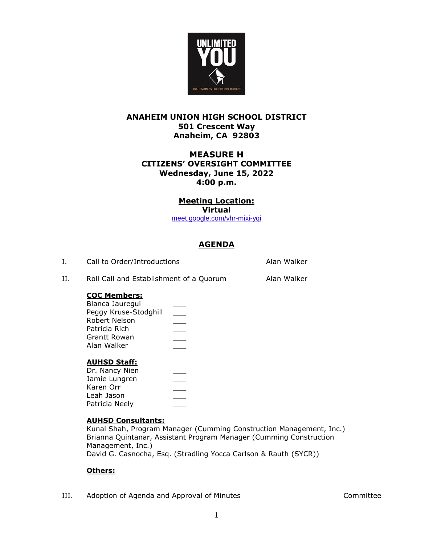

## **ANAHEIM UNION HIGH SCHOOL DISTRICT 501 Crescent Way Anaheim, CA 92803**

## **MEASURE H CITIZENS' OVERSIGHT COMMITTEE Wednesday, June 15, 2022 4:00 p.m.**

# **Meeting Location:**

**Virtual**

[meet.google.com/vhr-mixi-yqi](https://protect-us.mimecast.com/s/raS0CDkEVjfOZE64fWFTsC?domain=meet.google.com)

# **AGENDA**

| Call to Order/Introductions | Alan Walker |
|-----------------------------|-------------|
|                             |             |

II. Roll Call and Establishment of a Quorum Alan Walker

## **COC Members:**

| Blanca Jauregui       |  |
|-----------------------|--|
| Peggy Kruse-Stodghill |  |
| Robert Nelson         |  |
| Patricia Rich         |  |
| Grantt Rowan          |  |
| Alan Walker           |  |
|                       |  |

### **AUHSD Staff:**

| Dr. Nancy Nien |  |
|----------------|--|
| Jamie Lungren  |  |
| Karen Orr      |  |
| Leah Jason     |  |
| Patricia Neely |  |
|                |  |

### **AUHSD Consultants:**

Kunal Shah, Program Manager (Cumming Construction Management, Inc.) Brianna Quintanar, Assistant Program Manager (Cumming Construction Management, Inc.) David G. Casnocha, Esq. (Stradling Yocca Carlson & Rauth (SYCR))

## **Others:**

III. Adoption of Agenda and Approval of Minutes Committee